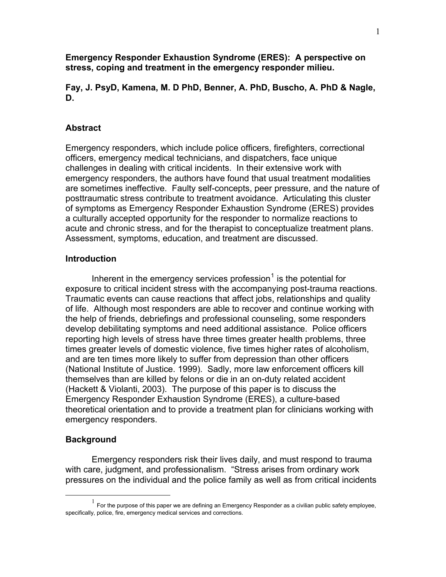**Emergency Responder Exhaustion Syndrome (ERES): A perspective on stress, coping and treatment in the emergency responder milieu.** 

**Fay, J. PsyD, Kamena, M. D PhD, Benner, A. PhD, Buscho, A. PhD & Nagle, D.** 

### **Abstract**

Emergency responders, which include police officers, firefighters, correctional officers, emergency medical technicians, and dispatchers, face unique challenges in dealing with critical incidents. In their extensive work with emergency responders, the authors have found that usual treatment modalities are sometimes ineffective. Faulty self-concepts, peer pressure, and the nature of posttraumatic stress contribute to treatment avoidance. Articulating this cluster of symptoms as Emergency Responder Exhaustion Syndrome (ERES) provides a culturally accepted opportunity for the responder to normalize reactions to acute and chronic stress, and for the therapist to conceptualize treatment plans. Assessment, symptoms, education, and treatment are discussed.

### **Introduction**

Inherent in the emergency services profession $1$  is the potential for exposure to critical incident stress with the accompanying post-trauma reactions. Traumatic events can cause reactions that affect jobs, relationships and quality of life. Although most responders are able to recover and continue working with the help of friends, debriefings and professional counseling, some responders develop debilitating symptoms and need additional assistance. Police officers reporting high levels of stress have three times greater health problems, three times greater levels of domestic violence, five times higher rates of alcoholism, and are ten times more likely to suffer from depression than other officers (National Institute of Justice. 1999). Sadly, more law enforcement officers kill themselves than are killed by felons or die in an on-duty related accident (Hackett & Violanti, 2003). The purpose of this paper is to discuss the Emergency Responder Exhaustion Syndrome (ERES), a culture-based theoretical orientation and to provide a treatment plan for clinicians working with emergency responders.

#### **Background**

Emergency responders risk their lives daily, and must respond to trauma with care, judgment, and professionalism. "Stress arises from ordinary work pressures on the individual and the police family as well as from critical incidents

 $1$  For the purpose of this paper we are defining an Emergency Responder as a civilian public safety employee, specifically, police, fire, emergency medical services and corrections.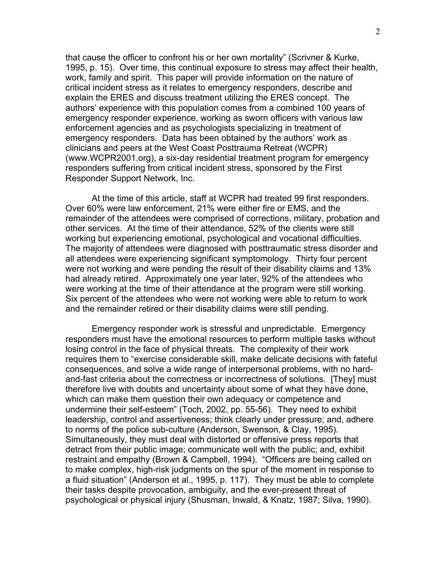that cause the officer to confront his or her own mortality" (Scrivner & Kurke, 1995, p. 15). Over time, this continual exposure to stress may affect their health, work, family and spirit. This paper will provide information on the nature of critical incident stress as it relates to emergency responders, describe and explain the ERES and discuss treatment utilizing the ERES concept. The authors' experience with this population comes from a combined 100 years of emergency responder experience, working as sworn officers with various law enforcement agencies and as psychologists specializing in treatment of emergency responders. Data has been obtained by the authors' work as clinicians and peers at the West Coast Posttrauma Retreat (WCPR) (www.WCPR2001.org), a six-day residential treatment program for emergency responders suffering from critical incident stress, sponsored by the First Responder Support Network, Inc.

At the time of this article, staff at WCPR had treated 99 first responders. Over 60% were law enforcement, 21% were either fire or EMS, and the remainder of the attendees were comprised of corrections, military, probation and other services. At the time of their attendance, 52% of the clients were still working but experiencing emotional, psychological and vocational difficulties. The majority of attendees were diagnosed with posttraumatic stress disorder and all attendees were experiencing significant symptomology. Thirty four percent were not working and were pending the result of their disability claims and 13% had already retired. Approximately one year later, 92% of the attendees who were working at the time of their attendance at the program were still working. Six percent of the attendees who were not working were able to return to work and the remainder retired or their disability claims were still pending.

Emergency responder work is stressful and unpredictable. Emergency responders must have the emotional resources to perform multiple tasks without losing control in the face of physical threats. The complexity of their work requires them to "exercise considerable skill, make delicate decisions with fateful consequences, and solve a wide range of interpersonal problems, with no hardand-fast criteria about the correctness or incorrectness of solutions. [They] must therefore live with doubts and uncertainty about some of what they have done, which can make them question their own adequacy or competence and undermine their self-esteem" (Toch, 2002, pp. 55-56). They need to exhibit leadership, control and assertiveness; think clearly under pressure; and, adhere to norms of the police sub-culture (Anderson, Swenson, & Clay, 1995). Simultaneously, they must deal with distorted or offensive press reports that detract from their public image; communicate well with the public; and, exhibit restraint and empathy (Brown & Campbell, 1994). "Officers are being called on to make complex, high-risk judgments on the spur of the moment in response to a fluid situation" (Anderson et al., 1995, p. 117). They must be able to complete their tasks despite provocation, ambiguity, and the ever-present threat of psychological or physical injury (Shusman, Inwald, & Knatz, 1987; Silva, 1990).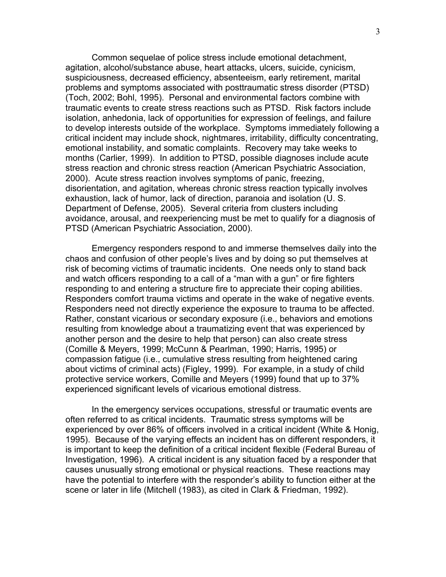Common sequelae of police stress include emotional detachment, agitation, alcohol/substance abuse, heart attacks, ulcers, suicide, cynicism, suspiciousness, decreased efficiency, absenteeism, early retirement, marital problems and symptoms associated with posttraumatic stress disorder (PTSD) (Toch, 2002; Bohl, 1995). Personal and environmental factors combine with traumatic events to create stress reactions such as PTSD. Risk factors include isolation, anhedonia, lack of opportunities for expression of feelings, and failure to develop interests outside of the workplace. Symptoms immediately following a critical incident may include shock, nightmares, irritability, difficulty concentrating, emotional instability, and somatic complaints. Recovery may take weeks to months (Carlier, 1999). In addition to PTSD, possible diagnoses include acute stress reaction and chronic stress reaction (American Psychiatric Association, 2000). Acute stress reaction involves symptoms of panic, freezing, disorientation, and agitation, whereas chronic stress reaction typically involves exhaustion, lack of humor, lack of direction, paranoia and isolation (U. S. Department of Defense, 2005). Several criteria from clusters including avoidance, arousal, and reexperiencing must be met to qualify for a diagnosis of PTSD (American Psychiatric Association, 2000).

 Emergency responders respond to and immerse themselves daily into the chaos and confusion of other people's lives and by doing so put themselves at risk of becoming victims of traumatic incidents. One needs only to stand back and watch officers responding to a call of a "man with a gun" or fire fighters responding to and entering a structure fire to appreciate their coping abilities. Responders comfort trauma victims and operate in the wake of negative events. Responders need not directly experience the exposure to trauma to be affected. Rather, constant vicarious or secondary exposure (i.e., behaviors and emotions resulting from knowledge about a traumatizing event that was experienced by another person and the desire to help that person) can also create stress (Comille & Meyers, 1999; McCunn & Pearlman, 1990; Harris, 1995) or compassion fatigue (i.e., cumulative stress resulting from heightened caring about victims of criminal acts) (Figley, 1999). For example, in a study of child protective service workers, Comille and Meyers (1999) found that up to 37% experienced significant levels of vicarious emotional distress.

In the emergency services occupations, stressful or traumatic events are often referred to as critical incidents. Traumatic stress symptoms will be experienced by over 86% of officers involved in a critical incident (White & Honig, 1995). Because of the varying effects an incident has on different responders, it is important to keep the definition of a critical incident flexible (Federal Bureau of Investigation, 1996). A critical incident is any situation faced by a responder that causes unusually strong emotional or physical reactions. These reactions may have the potential to interfere with the responder's ability to function either at the scene or later in life (Mitchell (1983), as cited in Clark & Friedman, 1992).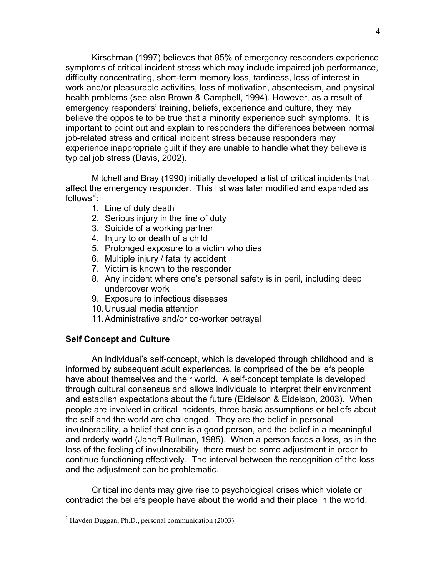Kirschman (1997) believes that 85% of emergency responders experience symptoms of critical incident stress which may include impaired job performance, difficulty concentrating, short-term memory loss, tardiness, loss of interest in work and/or pleasurable activities, loss of motivation, absenteeism, and physical health problems (see also Brown & Campbell, 1994). However, as a result of emergency responders' training, beliefs, experience and culture, they may believe the opposite to be true that a minority experience such symptoms. It is important to point out and explain to responders the differences between normal job-related stress and critical incident stress because responders may experience inappropriate guilt if they are unable to handle what they believe is typical job stress (Davis, 2002).

Mitchell and Bray (1990) initially developed a list of critical incidents that affect the emergency responder. This list was later modified and expanded as follows $^2$ :

- 1. Line of duty death
- 2. Serious injury in the line of duty
- 3. Suicide of a working partner
- 4. Injury to or death of a child
- 5. Prolonged exposure to a victim who dies
- 6. Multiple injury / fatality accident
- 7. Victim is known to the responder
- 8. Any incident where one's personal safety is in peril, including deep undercover work
- 9. Exposure to infectious diseases
- 10. Unusual media attention
- 11. Administrative and/or co-worker betrayal

### **Self Concept and Culture**

An individual's self-concept, which is developed through childhood and is informed by subsequent adult experiences, is comprised of the beliefs people have about themselves and their world. A self-concept template is developed through cultural consensus and allows individuals to interpret their environment and establish expectations about the future (Eidelson & Eidelson, 2003). When people are involved in critical incidents, three basic assumptions or beliefs about the self and the world are challenged. They are the belief in personal invulnerability, a belief that one is a good person, and the belief in a meaningful and orderly world (Janoff-Bullman, 1985). When a person faces a loss, as in the loss of the feeling of invulnerability, there must be some adjustment in order to continue functioning effectively. The interval between the recognition of the loss and the adjustment can be problematic.

 Critical incidents may give rise to psychological crises which violate or contradict the beliefs people have about the world and their place in the world.

 2 Hayden Duggan, Ph.D., personal communication (2003).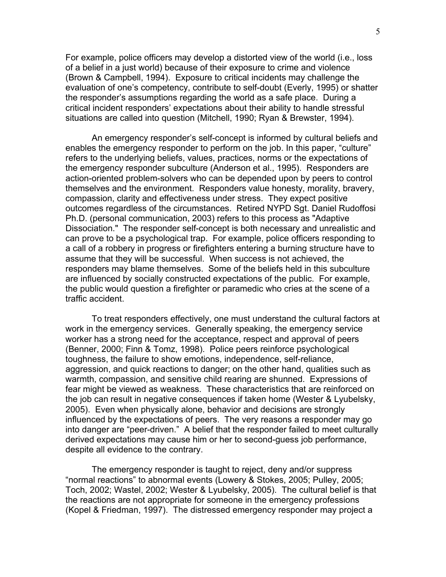For example, police officers may develop a distorted view of the world (i.e., loss of a belief in a just world) because of their exposure to crime and violence (Brown & Campbell, 1994). Exposure to critical incidents may challenge the evaluation of one's competency, contribute to self-doubt (Everly, 1995) or shatter the responder's assumptions regarding the world as a safe place. During a critical incident responders' expectations about their ability to handle stressful situations are called into question (Mitchell, 1990; Ryan & Brewster, 1994).

An emergency responder's self-concept is informed by cultural beliefs and enables the emergency responder to perform on the job. In this paper, "culture" refers to the underlying beliefs, values, practices, norms or the expectations of the emergency responder subculture (Anderson et al., 1995). Responders are action-oriented problem-solvers who can be depended upon by peers to control themselves and the environment. Responders value honesty, morality, bravery, compassion, clarity and effectiveness under stress. They expect positive outcomes regardless of the circumstances. Retired NYPD Sgt. Daniel Rudoffosi Ph.D. (personal communication, 2003) refers to this process as "Adaptive Dissociation." The responder self-concept is both necessary and unrealistic and can prove to be a psychological trap. For example, police officers responding to a call of a robbery in progress or firefighters entering a burning structure have to assume that they will be successful. When success is not achieved, the responders may blame themselves. Some of the beliefs held in this subculture are influenced by socially constructed expectations of the public. For example, the public would question a firefighter or paramedic who cries at the scene of a traffic accident.

To treat responders effectively, one must understand the cultural factors at work in the emergency services. Generally speaking, the emergency service worker has a strong need for the acceptance, respect and approval of peers (Benner, 2000; Finn & Tomz, 1998). Police peers reinforce psychological toughness, the failure to show emotions, independence, self-reliance, aggression, and quick reactions to danger; on the other hand, qualities such as warmth, compassion, and sensitive child rearing are shunned. Expressions of fear might be viewed as weakness. These characteristics that are reinforced on the job can result in negative consequences if taken home (Wester & Lyubelsky, 2005). Even when physically alone, behavior and decisions are strongly influenced by the expectations of peers. The very reasons a responder may go into danger are "peer-driven." A belief that the responder failed to meet culturally derived expectations may cause him or her to second-guess job performance, despite all evidence to the contrary.

The emergency responder is taught to reject, deny and/or suppress "normal reactions" to abnormal events (Lowery & Stokes, 2005; Pulley, 2005; Toch, 2002; Wastel, 2002; Wester & Lyubelsky, 2005). The cultural belief is that the reactions are not appropriate for someone in the emergency professions (Kopel & Friedman, 1997). The distressed emergency responder may project a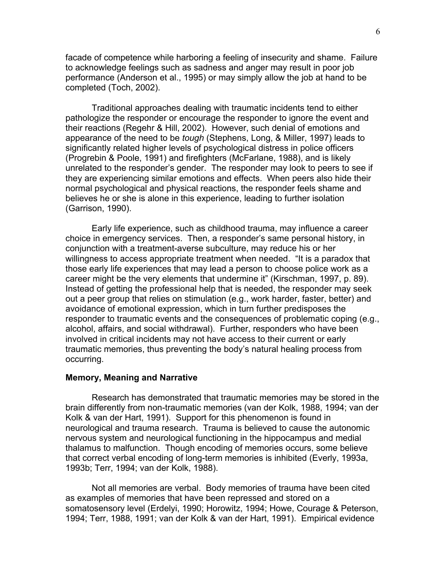facade of competence while harboring a feeling of insecurity and shame. Failure to acknowledge feelings such as sadness and anger may result in poor job performance (Anderson et al., 1995) or may simply allow the job at hand to be completed (Toch, 2002).

Traditional approaches dealing with traumatic incidents tend to either pathologize the responder or encourage the responder to ignore the event and their reactions (Regehr & Hill, 2002). However, such denial of emotions and appearance of the need to be *tough* (Stephens, Long, & Miller, 1997) leads to significantly related higher levels of psychological distress in police officers (Progrebin & Poole, 1991) and firefighters (McFarlane, 1988), and is likely unrelated to the responder's gender. The responder may look to peers to see if they are experiencing similar emotions and effects. When peers also hide their normal psychological and physical reactions, the responder feels shame and believes he or she is alone in this experience, leading to further isolation (Garrison, 1990).

Early life experience, such as childhood trauma, may influence a career choice in emergency services. Then, a responder's same personal history, in conjunction with a treatment-averse subculture, may reduce his or her willingness to access appropriate treatment when needed. "It is a paradox that those early life experiences that may lead a person to choose police work as a career might be the very elements that undermine it" (Kirschman, 1997, p. 89). Instead of getting the professional help that is needed, the responder may seek out a peer group that relies on stimulation (e.g., work harder, faster, better) and avoidance of emotional expression, which in turn further predisposes the responder to traumatic events and the consequences of problematic coping (e.g., alcohol, affairs, and social withdrawal). Further, responders who have been involved in critical incidents may not have access to their current or early traumatic memories, thus preventing the body's natural healing process from occurring.

### **Memory, Meaning and Narrative**

Research has demonstrated that traumatic memories may be stored in the brain differently from non-traumatic memories (van der Kolk, 1988, 1994; van der Kolk & van der Hart, 1991). Support for this phenomenon is found in neurological and trauma research. Trauma is believed to cause the autonomic nervous system and neurological functioning in the hippocampus and medial thalamus to malfunction. Though encoding of memories occurs, some believe that correct verbal encoding of long-term memories is inhibited (Everly, 1993a, 1993b; Terr, 1994; van der Kolk, 1988).

Not all memories are verbal. Body memories of trauma have been cited as examples of memories that have been repressed and stored on a somatosensory level (Erdelyi, 1990; Horowitz, 1994; Howe, Courage & Peterson, 1994; Terr, 1988, 1991; van der Kolk & van der Hart, 1991). Empirical evidence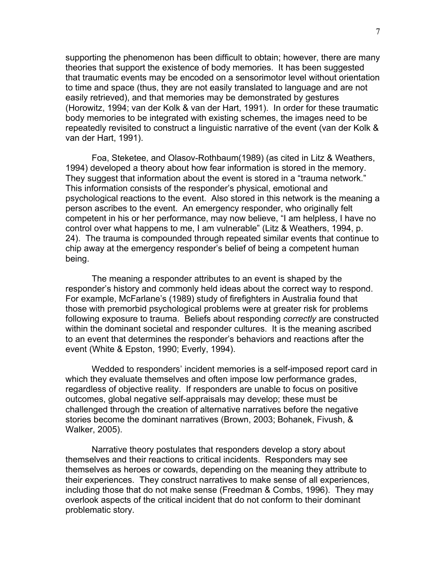supporting the phenomenon has been difficult to obtain; however, there are many theories that support the existence of body memories. It has been suggested that traumatic events may be encoded on a sensorimotor level without orientation to time and space (thus, they are not easily translated to language and are not easily retrieved), and that memories may be demonstrated by gestures (Horowitz, 1994; van der Kolk & van der Hart, 1991). In order for these traumatic body memories to be integrated with existing schemes, the images need to be repeatedly revisited to construct a linguistic narrative of the event (van der Kolk & van der Hart, 1991).

Foa, Steketee, and Olasov-Rothbaum(1989) (as cited in Litz & Weathers, 1994) developed a theory about how fear information is stored in the memory. They suggest that information about the event is stored in a "trauma network." This information consists of the responder's physical, emotional and psychological reactions to the event. Also stored in this network is the meaning a person ascribes to the event. An emergency responder, who originally felt competent in his or her performance, may now believe, "I am helpless, I have no control over what happens to me, I am vulnerable" (Litz & Weathers, 1994, p. 24). The trauma is compounded through repeated similar events that continue to chip away at the emergency responder's belief of being a competent human being.

The meaning a responder attributes to an event is shaped by the responder's history and commonly held ideas about the correct way to respond. For example, McFarlane's (1989) study of firefighters in Australia found that those with premorbid psychological problems were at greater risk for problems following exposure to trauma. Beliefs about responding *correctly* are constructed within the dominant societal and responder cultures. It is the meaning ascribed to an event that determines the responder's behaviors and reactions after the event (White & Epston, 1990; Everly, 1994).

Wedded to responders' incident memories is a self-imposed report card in which they evaluate themselves and often impose low performance grades, regardless of objective reality. If responders are unable to focus on positive outcomes, global negative self-appraisals may develop; these must be challenged through the creation of alternative narratives before the negative stories become the dominant narratives (Brown, 2003; Bohanek, Fivush, & Walker, 2005).

Narrative theory postulates that responders develop a story about themselves and their reactions to critical incidents. Responders may see themselves as heroes or cowards, depending on the meaning they attribute to their experiences. They construct narratives to make sense of all experiences, including those that do not make sense (Freedman & Combs, 1996). They may overlook aspects of the critical incident that do not conform to their dominant problematic story.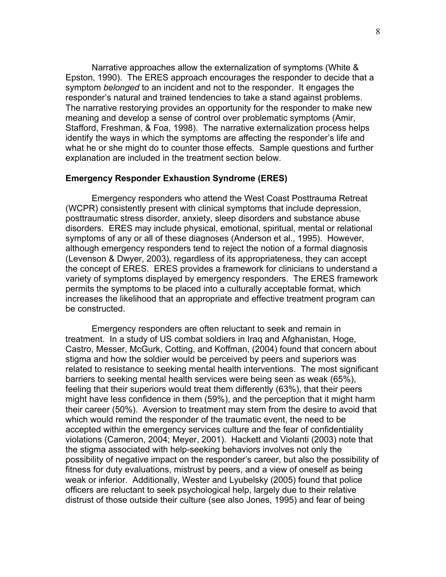Narrative approaches allow the externalization of symptoms (White & Epston, 1990). The ERES approach encourages the responder to decide that a symptom *belonged* to an incident and not to the responder. It engages the responder's natural and trained tendencies to take a stand against problems. The narrative restorying provides an opportunity for the responder to make new meaning and develop a sense of control over problematic symptoms (Amir, Stafford, Freshman, & Foa, 1998). The narrative externalization process helps identify the ways in which the symptoms are affecting the responder's life and what he or she might do to counter those effects. Sample questions and further explanation are included in the treatment section below.

#### **Emergency Responder Exhaustion Syndrome (ERES)**

Emergency responders who attend the West Coast Posttrauma Retreat (WCPR) consistently present with clinical symptoms that include depression, posttraumatic stress disorder, anxiety, sleep disorders and substance abuse disorders. ERES may include physical, emotional, spiritual, mental or relational symptoms of any or all of these diagnoses (Anderson et al., 1995). However, although emergency responders tend to reject the notion of a formal diagnosis (Levenson & Dwyer, 2003), regardless of its appropriateness, they can accept the concept of ERES. ERES provides a framework for clinicians to understand a variety of symptoms displayed by emergency responders. The ERES framework permits the symptoms to be placed into a culturally acceptable format, which increases the likelihood that an appropriate and effective treatment program can be constructed.

Emergency responders are often reluctant to seek and remain in treatment. In a study of US combat soldiers in Iraq and Afghanistan, Hoge, Castro, Messer, McGurk, Cotting, and Koffman, (2004) found that concern about stigma and how the soldier would be perceived by peers and superiors was related to resistance to seeking mental health interventions. The most significant barriers to seeking mental health services were being seen as weak (65%), feeling that their superiors would treat them differently (63%), that their peers might have less confidence in them (59%), and the perception that it might harm their career (50%). Aversion to treatment may stem from the desire to avoid that which would remind the responder of the traumatic event, the need to be accepted within the emergency services culture and the fear of confidentiality violations (Cameron, 2004; Meyer, 2001). Hackett and Violanti (2003) note that the stigma associated with help-seeking behaviors involves not only the possibility of negative impact on the responder's career, but also the possibility of fitness for duty evaluations, mistrust by peers, and a view of oneself as being weak or inferior. Additionally, Wester and Lyubelsky (2005) found that police officers are reluctant to seek psychological help, largely due to their relative distrust of those outside their culture (see also Jones, 1995) and fear of being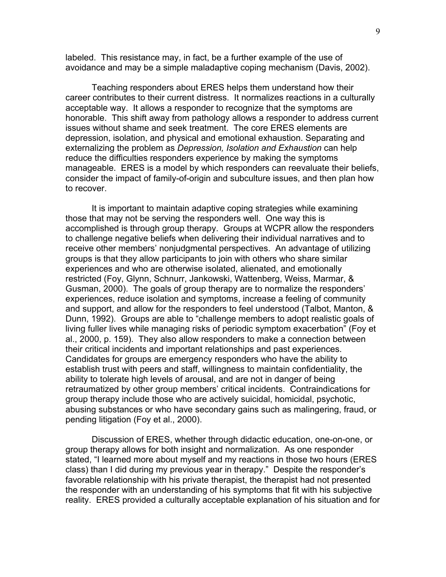labeled. This resistance may, in fact, be a further example of the use of avoidance and may be a simple maladaptive coping mechanism (Davis, 2002).

Teaching responders about ERES helps them understand how their career contributes to their current distress. It normalizes reactions in a culturally acceptable way. It allows a responder to recognize that the symptoms are honorable. This shift away from pathology allows a responder to address current issues without shame and seek treatment. The core ERES elements are depression, isolation, and physical and emotional exhaustion. Separating and externalizing the problem as *Depression, Isolation and Exhaustion* can help reduce the difficulties responders experience by making the symptoms manageable. ERES is a model by which responders can reevaluate their beliefs, consider the impact of family-of-origin and subculture issues, and then plan how to recover.

It is important to maintain adaptive coping strategies while examining those that may not be serving the responders well. One way this is accomplished is through group therapy. Groups at WCPR allow the responders to challenge negative beliefs when delivering their individual narratives and to receive other members' nonjudgmental perspectives. An advantage of utilizing groups is that they allow participants to join with others who share similar experiences and who are otherwise isolated, alienated, and emotionally restricted (Foy, Glynn, Schnurr, Jankowski, Wattenberg, Weiss, Marmar, & Gusman, 2000). The goals of group therapy are to normalize the responders' experiences, reduce isolation and symptoms, increase a feeling of community and support, and allow for the responders to feel understood (Talbot, Manton, & Dunn, 1992). Groups are able to "challenge members to adopt realistic goals of living fuller lives while managing risks of periodic symptom exacerbation" (Foy et al., 2000, p. 159). They also allow responders to make a connection between their critical incidents and important relationships and past experiences. Candidates for groups are emergency responders who have the ability to establish trust with peers and staff, willingness to maintain confidentiality, the ability to tolerate high levels of arousal, and are not in danger of being retraumatized by other group members' critical incidents. Contraindications for group therapy include those who are actively suicidal, homicidal, psychotic, abusing substances or who have secondary gains such as malingering, fraud, or pending litigation (Foy et al., 2000).

 Discussion of ERES, whether through didactic education, one-on-one, or group therapy allows for both insight and normalization. As one responder stated, "I learned more about myself and my reactions in those two hours (ERES class) than I did during my previous year in therapy." Despite the responder's favorable relationship with his private therapist, the therapist had not presented the responder with an understanding of his symptoms that fit with his subjective reality. ERES provided a culturally acceptable explanation of his situation and for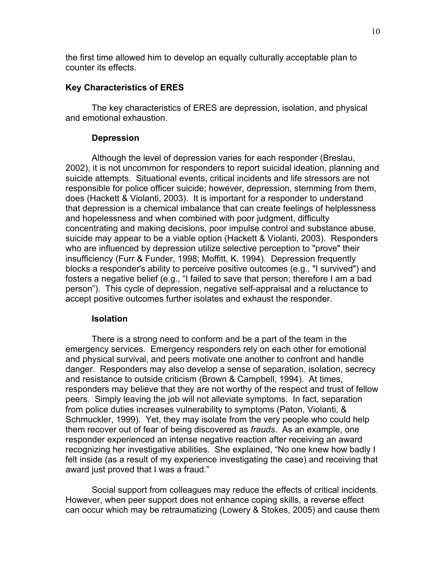the first time allowed him to develop an equally culturally acceptable plan to counter its effects.

## **Key Characteristics of ERES**

The key characteristics of ERES are depression, isolation, and physical and emotional exhaustion.

### **Depression**

Although the level of depression varies for each responder (Breslau, 2002), it is not uncommon for responders to report suicidal ideation, planning and suicide attempts. Situational events, critical incidents and life stressors are not responsible for police officer suicide; however, depression, stemming from them, does (Hackett & Violanti, 2003). It is important for a responder to understand that depression is a chemical imbalance that can create feelings of helplessness and hopelessness and when combined with poor judgment, difficulty concentrating and making decisions, poor impulse control and substance abuse, suicide may appear to be a viable option (Hackett & Violanti, 2003). Responders who are influenced by depression utilize selective perception to "prove" their insufficiency (Furr & Funder, 1998; Moffitt, K. 1994). Depression frequently blocks a responder's ability to perceive positive outcomes (e.g., "I survived") and fosters a negative belief (e.g., "I failed to save that person; therefore I am a bad person"). This cycle of depression, negative self-appraisal and a reluctance to accept positive outcomes further isolates and exhaust the responder.

### **Isolation**

There is a strong need to conform and be a part of the team in the emergency services. Emergency responders rely on each other for emotional and physical survival, and peers motivate one another to confront and handle danger. Responders may also develop a sense of separation, isolation, secrecy and resistance to outside criticism (Brown & Campbell, 1994). At times, responders may believe that they are not worthy of the respect and trust of fellow peers. Simply leaving the job will not alleviate symptoms. In fact, separation from police duties increases vulnerability to symptoms (Paton, Violanti, & Schmuckler, 1999). Yet, they may isolate from the very people who could help them recover out of fear of being discovered as *frauds*. As an example, one responder experienced an intense negative reaction after receiving an award recognizing her investigative abilities. She explained, "No one knew how badly I felt inside (as a result of my experience investigating the case) and receiving that award just proved that I was a fraud."

Social support from colleagues may reduce the effects of critical incidents. However, when peer support does not enhance coping skills, a reverse effect can occur which may be retraumatizing (Lowery & Stokes, 2005) and cause them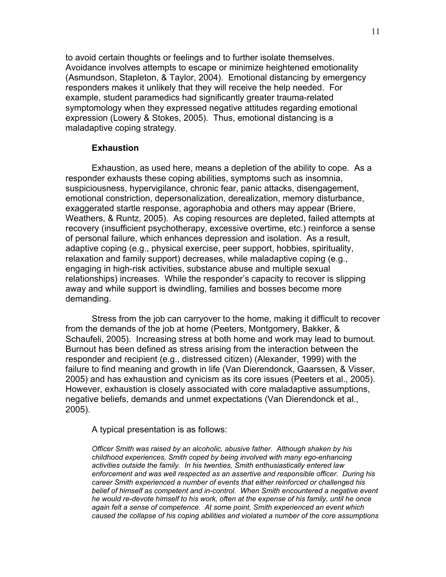to avoid certain thoughts or feelings and to further isolate themselves. Avoidance involves attempts to escape or minimize heightened emotionality (Asmundson, Stapleton, & Taylor, 2004). Emotional distancing by emergency responders makes it unlikely that they will receive the help needed. For example, student paramedics had significantly greater trauma-related symptomology when they expressed negative attitudes regarding emotional expression (Lowery & Stokes, 2005). Thus, emotional distancing is a maladaptive coping strategy.

#### **Exhaustion**

Exhaustion, as used here, means a depletion of the ability to cope. As a responder exhausts these coping abilities, symptoms such as insomnia, suspiciousness, hypervigilance, chronic fear, panic attacks, disengagement, emotional constriction, depersonalization, derealization, memory disturbance, exaggerated startle response, agoraphobia and others may appear (Briere, Weathers, & Runtz, 2005). As coping resources are depleted, failed attempts at recovery (insufficient psychotherapy, excessive overtime, etc.) reinforce a sense of personal failure, which enhances depression and isolation. As a result, adaptive coping (e.g., physical exercise, peer support, hobbies, spirituality, relaxation and family support) decreases, while maladaptive coping (e.g., engaging in high-risk activities, substance abuse and multiple sexual relationships) increases. While the responder's capacity to recover is slipping away and while support is dwindling, families and bosses become more demanding.

Stress from the job can carryover to the home, making it difficult to recover from the demands of the job at home (Peeters, Montgomery, Bakker, & Schaufeli, 2005). Increasing stress at both home and work may lead to burnout. Burnout has been defined as stress arising from the interaction between the responder and recipient (e.g., distressed citizen) (Alexander, 1999) with the failure to find meaning and growth in life (Van Dierendonck, Gaarssen, & Visser, 2005) and has exhaustion and cynicism as its core issues (Peeters et al., 2005). However, exhaustion is closely associated with core maladaptive assumptions, negative beliefs, demands and unmet expectations (Van Dierendonck et al., 2005).

A typical presentation is as follows:

*Officer Smith was raised by an alcoholic, abusive father. Although shaken by his childhood experiences, Smith coped by being involved with many ego-enhancing activities outside the family. In his twenties, Smith enthusiastically entered law enforcement and was well respected as an assertive and responsible officer. During his career Smith experienced a number of events that either reinforced or challenged his belief of himself as competent and in-control. When Smith encountered a negative event he would re-devote himself to his work, often at the expense of his family, until he once again felt a sense of competence. At some point, Smith experienced an event which caused the collapse of his coping abilities and violated a number of the core assumptions*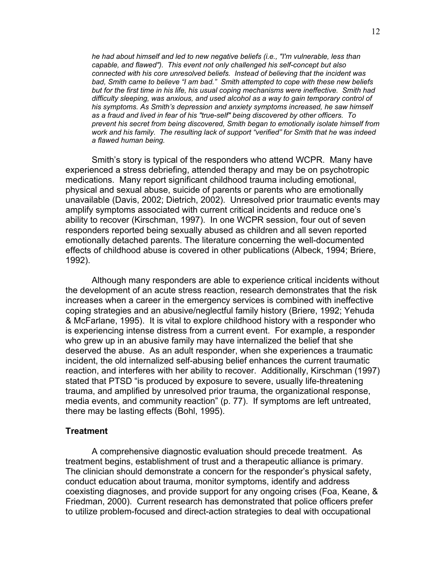*he had about himself and led to new negative beliefs (i.e., "I'm vulnerable, less than capable, and flawed"). This event not only challenged his self-concept but also connected with his core unresolved beliefs. Instead of believing that the incident was bad, Smith came to believe "I am bad." Smith attempted to cope with these new beliefs but for the first time in his life, his usual coping mechanisms were ineffective. Smith had difficulty sleeping, was anxious, and used alcohol as a way to gain temporary control of his symptoms. As Smith's depression and anxiety symptoms increased, he saw himself as a fraud and lived in fear of his "true-self" being discovered by other officers. To prevent his secret from being discovered, Smith began to emotionally isolate himself from work and his family. The resulting lack of support "verified" for Smith that he was indeed a flawed human being.* 

Smith's story is typical of the responders who attend WCPR. Many have experienced a stress debriefing, attended therapy and may be on psychotropic medications. Many report significant childhood trauma including emotional, physical and sexual abuse, suicide of parents or parents who are emotionally unavailable (Davis, 2002; Dietrich, 2002). Unresolved prior traumatic events may amplify symptoms associated with current critical incidents and reduce one's ability to recover (Kirschman, 1997). In one WCPR session, four out of seven responders reported being sexually abused as children and all seven reported emotionally detached parents. The literature concerning the well-documented effects of childhood abuse is covered in other publications (Albeck, 1994; Briere, 1992).

Although many responders are able to experience critical incidents without the development of an acute stress reaction, research demonstrates that the risk increases when a career in the emergency services is combined with ineffective coping strategies and an abusive/neglectful family history (Briere, 1992; Yehuda & McFarlane, 1995). It is vital to explore childhood history with a responder who is experiencing intense distress from a current event. For example, a responder who grew up in an abusive family may have internalized the belief that she deserved the abuse. As an adult responder, when she experiences a traumatic incident, the old internalized self-abusing belief enhances the current traumatic reaction, and interferes with her ability to recover. Additionally, Kirschman (1997) stated that PTSD "is produced by exposure to severe, usually life-threatening trauma, and amplified by unresolved prior trauma, the organizational response, media events, and community reaction" (p. 77). If symptoms are left untreated, there may be lasting effects (Bohl, 1995).

#### **Treatment**

A comprehensive diagnostic evaluation should precede treatment. As treatment begins, establishment of trust and a therapeutic alliance is primary. The clinician should demonstrate a concern for the responder's physical safety, conduct education about trauma, monitor symptoms, identify and address coexisting diagnoses, and provide support for any ongoing crises (Foa, Keane, & Friedman, 2000). Current research has demonstrated that police officers prefer to utilize problem-focused and direct-action strategies to deal with occupational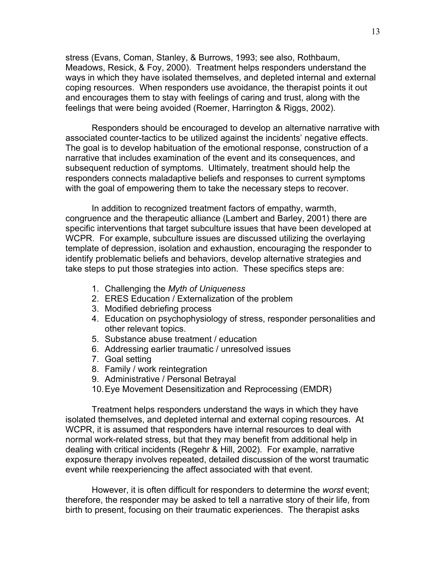stress (Evans, Coman, Stanley, & Burrows, 1993; see also, Rothbaum, Meadows, Resick, & Foy, 2000). Treatment helps responders understand the ways in which they have isolated themselves, and depleted internal and external coping resources. When responders use avoidance, the therapist points it out and encourages them to stay with feelings of caring and trust, along with the feelings that were being avoided (Roemer, Harrington & Riggs, 2002).

Responders should be encouraged to develop an alternative narrative with associated counter-tactics to be utilized against the incidents' negative effects. The goal is to develop habituation of the emotional response, construction of a narrative that includes examination of the event and its consequences, and subsequent reduction of symptoms. Ultimately, treatment should help the responders connects maladaptive beliefs and responses to current symptoms with the goal of empowering them to take the necessary steps to recover.

In addition to recognized treatment factors of empathy, warmth, congruence and the therapeutic alliance (Lambert and Barley, 2001) there are specific interventions that target subculture issues that have been developed at WCPR. For example, subculture issues are discussed utilizing the overlaying template of depression, isolation and exhaustion, encouraging the responder to identify problematic beliefs and behaviors, develop alternative strategies and take steps to put those strategies into action. These specifics steps are:

- 1. Challenging the *Myth of Uniqueness*
- 2. ERES Education / Externalization of the problem
- 3. Modified debriefing process
- 4. Education on psychophysiology of stress, responder personalities and other relevant topics.
- 5. Substance abuse treatment / education
- 6. Addressing earlier traumatic / unresolved issues
- 7. Goal setting
- 8. Family / work reintegration
- 9. Administrative / Personal Betrayal
- 10. Eye Movement Desensitization and Reprocessing (EMDR)

Treatment helps responders understand the ways in which they have isolated themselves, and depleted internal and external coping resources. At WCPR, it is assumed that responders have internal resources to deal with normal work-related stress, but that they may benefit from additional help in dealing with critical incidents (Regehr & Hill, 2002). For example, narrative exposure therapy involves repeated, detailed discussion of the worst traumatic event while reexperiencing the affect associated with that event.

However, it is often difficult for responders to determine the *worst* event; therefore, the responder may be asked to tell a narrative story of their life, from birth to present, focusing on their traumatic experiences. The therapist asks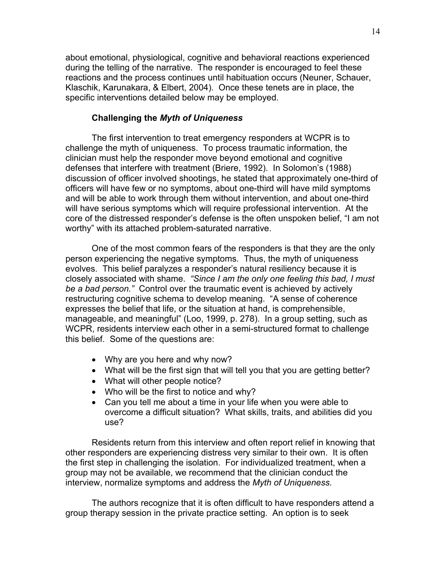about emotional, physiological, cognitive and behavioral reactions experienced during the telling of the narrative. The responder is encouraged to feel these reactions and the process continues until habituation occurs (Neuner, Schauer, Klaschik, Karunakara, & Elbert, 2004). Once these tenets are in place, the specific interventions detailed below may be employed.

## **Challenging the** *Myth of Uniqueness*

The first intervention to treat emergency responders at WCPR is to challenge the myth of uniqueness. To process traumatic information, the clinician must help the responder move beyond emotional and cognitive defenses that interfere with treatment (Briere, 1992). In Solomon's (1988) discussion of officer involved shootings, he stated that approximately one-third of officers will have few or no symptoms, about one-third will have mild symptoms and will be able to work through them without intervention, and about one-third will have serious symptoms which will require professional intervention. At the core of the distressed responder's defense is the often unspoken belief, "I am not worthy" with its attached problem-saturated narrative.

One of the most common fears of the responders is that they are the only person experiencing the negative symptoms. Thus, the myth of uniqueness evolves. This belief paralyzes a responder's natural resiliency because it is closely associated with shame. *"Since I am the only one feeling this bad, I must be a bad person."* Control over the traumatic event is achieved by actively restructuring cognitive schema to develop meaning. "A sense of coherence expresses the belief that life, or the situation at hand, is comprehensible, manageable, and meaningful" (Loo, 1999, p. 278). In a group setting, such as WCPR, residents interview each other in a semi-structured format to challenge this belief. Some of the questions are:

- Why are you here and why now?
- What will be the first sign that will tell you that you are getting better?
- What will other people notice?
- Who will be the first to notice and why?
- Can you tell me about a time in your life when you were able to overcome a difficult situation? What skills, traits, and abilities did you use?

Residents return from this interview and often report relief in knowing that other responders are experiencing distress very similar to their own. It is often the first step in challenging the isolation. For individualized treatment, when a group may not be available, we recommend that the clinician conduct the interview, normalize symptoms and address the *Myth of Uniqueness.*

The authors recognize that it is often difficult to have responders attend a group therapy session in the private practice setting. An option is to seek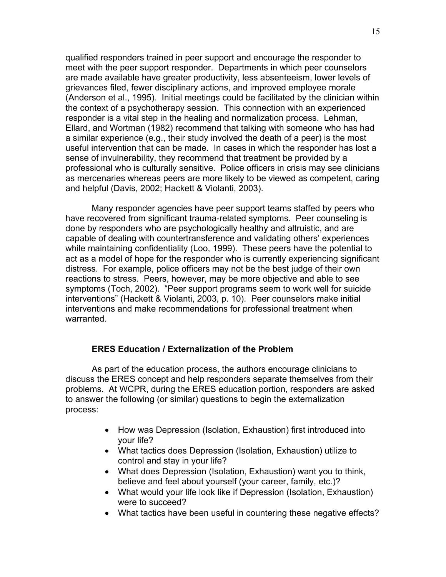qualified responders trained in peer support and encourage the responder to meet with the peer support responder. Departments in which peer counselors are made available have greater productivity, less absenteeism, lower levels of grievances filed, fewer disciplinary actions, and improved employee morale (Anderson et al., 1995). Initial meetings could be facilitated by the clinician within the context of a psychotherapy session. This connection with an experienced responder is a vital step in the healing and normalization process. Lehman, Ellard, and Wortman (1982) recommend that talking with someone who has had a similar experience (e.g., their study involved the death of a peer) is the most useful intervention that can be made. In cases in which the responder has lost a sense of invulnerability, they recommend that treatment be provided by a professional who is culturally sensitive. Police officers in crisis may see clinicians as mercenaries whereas peers are more likely to be viewed as competent, caring and helpful (Davis, 2002; Hackett & Violanti, 2003).

Many responder agencies have peer support teams staffed by peers who have recovered from significant trauma-related symptoms. Peer counseling is done by responders who are psychologically healthy and altruistic, and are capable of dealing with countertransference and validating others' experiences while maintaining confidentiality (Loo, 1999). These peers have the potential to act as a model of hope for the responder who is currently experiencing significant distress. For example, police officers may not be the best judge of their own reactions to stress. Peers, however, may be more objective and able to see symptoms (Toch, 2002). "Peer support programs seem to work well for suicide interventions" (Hackett & Violanti, 2003, p. 10). Peer counselors make initial interventions and make recommendations for professional treatment when warranted.

## **ERES Education / Externalization of the Problem**

As part of the education process, the authors encourage clinicians to discuss the ERES concept and help responders separate themselves from their problems. At WCPR, during the ERES education portion, responders are asked to answer the following (or similar) questions to begin the externalization process:

- How was Depression (Isolation, Exhaustion) first introduced into your life?
- What tactics does Depression (Isolation, Exhaustion) utilize to control and stay in your life?
- What does Depression (Isolation, Exhaustion) want you to think, believe and feel about yourself (your career, family, etc.)?
- What would your life look like if Depression (Isolation, Exhaustion) were to succeed?
- What tactics have been useful in countering these negative effects?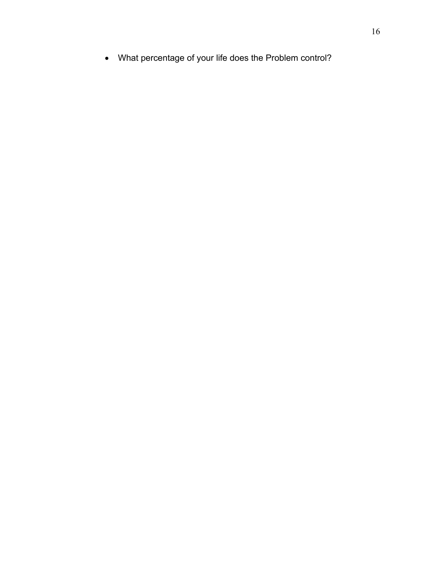• What percentage of your life does the Problem control?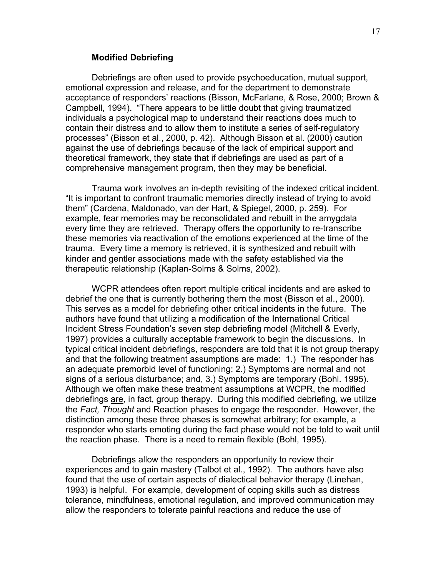#### **Modified Debriefing**

Debriefings are often used to provide psychoeducation, mutual support, emotional expression and release, and for the department to demonstrate acceptance of responders' reactions (Bisson, McFarlane, & Rose, 2000; Brown & Campbell, 1994). "There appears to be little doubt that giving traumatized individuals a psychological map to understand their reactions does much to contain their distress and to allow them to institute a series of self-regulatory processes" (Bisson et al., 2000, p. 42). Although Bisson et al. (2000) caution against the use of debriefings because of the lack of empirical support and theoretical framework, they state that if debriefings are used as part of a comprehensive management program, then they may be beneficial.

Trauma work involves an in-depth revisiting of the indexed critical incident. "It is important to confront traumatic memories directly instead of trying to avoid them" (Cardena, Maldonado, van der Hart, & Spiegel, 2000, p. 259). For example, fear memories may be reconsolidated and rebuilt in the amygdala every time they are retrieved. Therapy offers the opportunity to re-transcribe these memories via reactivation of the emotions experienced at the time of the trauma. Every time a memory is retrieved, it is synthesized and rebuilt with kinder and gentler associations made with the safety established via the therapeutic relationship (Kaplan-Solms & Solms, 2002).

WCPR attendees often report multiple critical incidents and are asked to debrief the one that is currently bothering them the most (Bisson et al., 2000). This serves as a model for debriefing other critical incidents in the future. The authors have found that utilizing a modification of the International Critical Incident Stress Foundation's seven step debriefing model (Mitchell & Everly, 1997) provides a culturally acceptable framework to begin the discussions. In typical critical incident debriefings, responders are told that it is not group therapy and that the following treatment assumptions are made: 1.) The responder has an adequate premorbid level of functioning; 2.) Symptoms are normal and not signs of a serious disturbance; and, 3.) Symptoms are temporary (Bohl. 1995). Although we often make these treatment assumptions at WCPR, the modified debriefings are, in fact, group therapy. During this modified debriefing, we utilize the *Fact, Thought* and Reaction phases to engage the responder. However, the distinction among these three phases is somewhat arbitrary; for example, a responder who starts emoting during the fact phase would not be told to wait until the reaction phase. There is a need to remain flexible (Bohl, 1995).

Debriefings allow the responders an opportunity to review their experiences and to gain mastery (Talbot et al., 1992). The authors have also found that the use of certain aspects of dialectical behavior therapy (Linehan, 1993) is helpful. For example, development of coping skills such as distress tolerance, mindfulness, emotional regulation, and improved communication may allow the responders to tolerate painful reactions and reduce the use of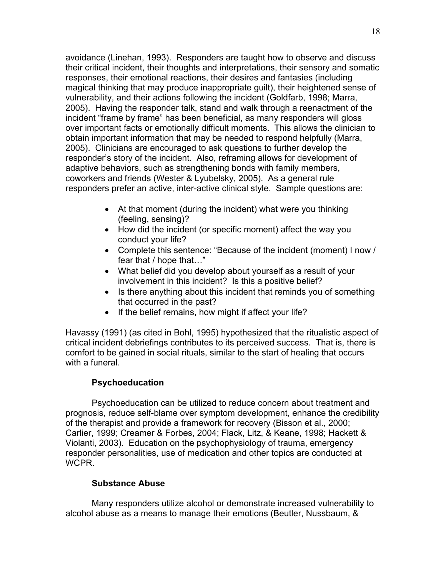avoidance (Linehan, 1993). Responders are taught how to observe and discuss their critical incident, their thoughts and interpretations, their sensory and somatic responses, their emotional reactions, their desires and fantasies (including magical thinking that may produce inappropriate guilt), their heightened sense of vulnerability, and their actions following the incident (Goldfarb, 1998; Marra, 2005). Having the responder talk, stand and walk through a reenactment of the incident "frame by frame" has been beneficial, as many responders will gloss over important facts or emotionally difficult moments. This allows the clinician to obtain important information that may be needed to respond helpfully (Marra, 2005). Clinicians are encouraged to ask questions to further develop the responder's story of the incident. Also, reframing allows for development of adaptive behaviors, such as strengthening bonds with family members, coworkers and friends (Wester & Lyubelsky, 2005). As a general rule responders prefer an active, inter-active clinical style. Sample questions are:

- At that moment (during the incident) what were you thinking (feeling, sensing)?
- How did the incident (or specific moment) affect the way you conduct your life?
- Complete this sentence: "Because of the incident (moment) I now / fear that / hope that…"
- What belief did you develop about yourself as a result of your involvement in this incident? Is this a positive belief?
- Is there anything about this incident that reminds you of something that occurred in the past?
- If the belief remains, how might if affect your life?

Havassy (1991) (as cited in Bohl, 1995) hypothesized that the ritualistic aspect of critical incident debriefings contributes to its perceived success. That is, there is comfort to be gained in social rituals, similar to the start of healing that occurs with a funeral.

# **Psychoeducation**

Psychoeducation can be utilized to reduce concern about treatment and prognosis, reduce self-blame over symptom development, enhance the credibility of the therapist and provide a framework for recovery (Bisson et al., 2000; Carlier, 1999; Creamer & Forbes, 2004; Flack, Litz, & Keane, 1998; Hackett & Violanti, 2003). Education on the psychophysiology of trauma, emergency responder personalities, use of medication and other topics are conducted at WCPR.

## **Substance Abuse**

Many responders utilize alcohol or demonstrate increased vulnerability to alcohol abuse as a means to manage their emotions (Beutler, Nussbaum, &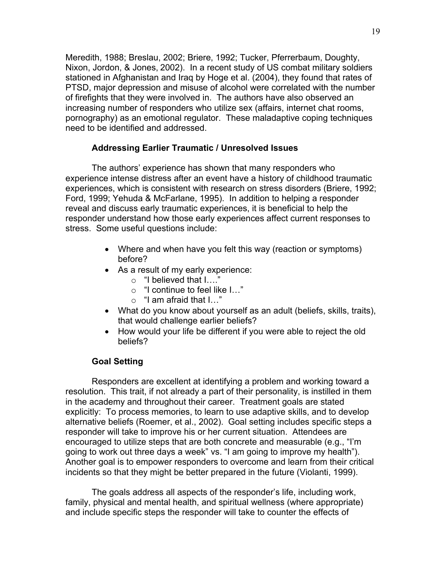Meredith, 1988; Breslau, 2002; Briere, 1992; Tucker, Pferrerbaum, Doughty, Nixon, Jordon, & Jones, 2002). In a recent study of US combat military soldiers stationed in Afghanistan and Iraq by Hoge et al. (2004), they found that rates of PTSD, major depression and misuse of alcohol were correlated with the number of firefights that they were involved in. The authors have also observed an increasing number of responders who utilize sex (affairs, internet chat rooms, pornography) as an emotional regulator. These maladaptive coping techniques need to be identified and addressed.

## **Addressing Earlier Traumatic / Unresolved Issues**

The authors' experience has shown that many responders who experience intense distress after an event have a history of childhood traumatic experiences, which is consistent with research on stress disorders (Briere, 1992; Ford, 1999; Yehuda & McFarlane, 1995). In addition to helping a responder reveal and discuss early traumatic experiences, it is beneficial to help the responder understand how those early experiences affect current responses to stress. Some useful questions include:

- Where and when have you felt this way (reaction or symptoms) before?
- As a result of my early experience:
	- o "I believed that I…."
	- o "I continue to feel like I…"
	- o "I am afraid that I…"
- What do you know about yourself as an adult (beliefs, skills, traits), that would challenge earlier beliefs?
- How would your life be different if you were able to reject the old beliefs?

## **Goal Setting**

Responders are excellent at identifying a problem and working toward a resolution. This trait, if not already a part of their personality, is instilled in them in the academy and throughout their career. Treatment goals are stated explicitly: To process memories, to learn to use adaptive skills, and to develop alternative beliefs (Roemer, et al., 2002). Goal setting includes specific steps a responder will take to improve his or her current situation. Attendees are encouraged to utilize steps that are both concrete and measurable (e.g., "I'm going to work out three days a week" vs. "I am going to improve my health"). Another goal is to empower responders to overcome and learn from their critical incidents so that they might be better prepared in the future (Violanti, 1999).

The goals address all aspects of the responder's life, including work, family, physical and mental health, and spiritual wellness (where appropriate) and include specific steps the responder will take to counter the effects of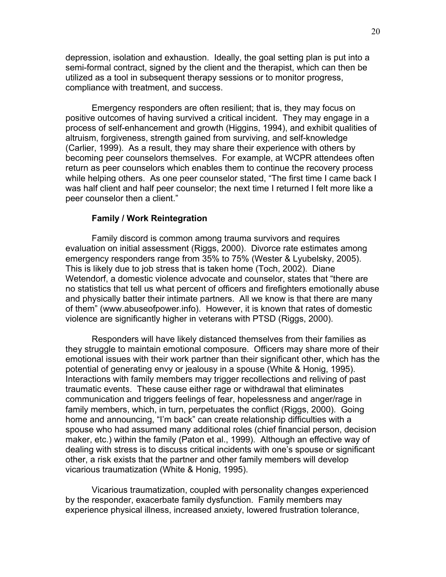depression, isolation and exhaustion. Ideally, the goal setting plan is put into a semi-formal contract, signed by the client and the therapist, which can then be utilized as a tool in subsequent therapy sessions or to monitor progress, compliance with treatment, and success.

Emergency responders are often resilient; that is, they may focus on positive outcomes of having survived a critical incident. They may engage in a process of self-enhancement and growth (Higgins, 1994), and exhibit qualities of altruism, forgiveness, strength gained from surviving, and self-knowledge (Carlier, 1999). As a result, they may share their experience with others by becoming peer counselors themselves. For example, at WCPR attendees often return as peer counselors which enables them to continue the recovery process while helping others. As one peer counselor stated, "The first time I came back I was half client and half peer counselor; the next time I returned I felt more like a peer counselor then a client."

#### **Family / Work Reintegration**

Family discord is common among trauma survivors and requires evaluation on initial assessment (Riggs, 2000). Divorce rate estimates among emergency responders range from 35% to 75% (Wester & Lyubelsky, 2005). This is likely due to job stress that is taken home (Toch, 2002). Diane Wetendorf, a domestic violence advocate and counselor, states that "there are no statistics that tell us what percent of officers and firefighters emotionally abuse and physically batter their intimate partners. All we know is that there are many of them" (www.abuseofpower.info). However, it is known that rates of domestic violence are significantly higher in veterans with PTSD (Riggs, 2000).

Responders will have likely distanced themselves from their families as they struggle to maintain emotional composure. Officers may share more of their emotional issues with their work partner than their significant other, which has the potential of generating envy or jealousy in a spouse (White & Honig, 1995). Interactions with family members may trigger recollections and reliving of past traumatic events. These cause either rage or withdrawal that eliminates communication and triggers feelings of fear, hopelessness and anger/rage in family members, which, in turn, perpetuates the conflict (Riggs, 2000). Going home and announcing, "I'm back" can create relationship difficulties with a spouse who had assumed many additional roles (chief financial person, decision maker, etc.) within the family (Paton et al., 1999). Although an effective way of dealing with stress is to discuss critical incidents with one's spouse or significant other, a risk exists that the partner and other family members will develop vicarious traumatization (White & Honig, 1995).

Vicarious traumatization, coupled with personality changes experienced by the responder, exacerbate family dysfunction. Family members may experience physical illness, increased anxiety, lowered frustration tolerance,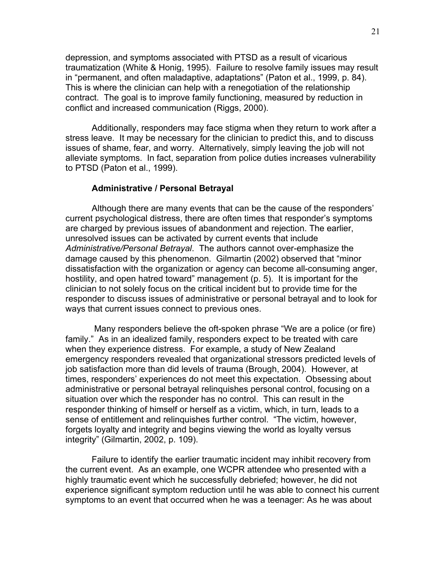depression, and symptoms associated with PTSD as a result of vicarious traumatization (White & Honig, 1995). Failure to resolve family issues may result in "permanent, and often maladaptive, adaptations" (Paton et al., 1999, p. 84). This is where the clinician can help with a renegotiation of the relationship contract. The goal is to improve family functioning, measured by reduction in conflict and increased communication (Riggs, 2000).

Additionally, responders may face stigma when they return to work after a stress leave. It may be necessary for the clinician to predict this, and to discuss issues of shame, fear, and worry. Alternatively, simply leaving the job will not alleviate symptoms. In fact, separation from police duties increases vulnerability to PTSD (Paton et al., 1999).

### **Administrative / Personal Betrayal**

Although there are many events that can be the cause of the responders' current psychological distress, there are often times that responder's symptoms are charged by previous issues of abandonment and rejection. The earlier, unresolved issues can be activated by current events that include *Administrative/Personal Betrayal*. The authors cannot over-emphasize the damage caused by this phenomenon. Gilmartin (2002) observed that "minor dissatisfaction with the organization or agency can become all-consuming anger, hostility, and open hatred toward" management (p. 5). It is important for the clinician to not solely focus on the critical incident but to provide time for the responder to discuss issues of administrative or personal betrayal and to look for ways that current issues connect to previous ones.

 Many responders believe the oft-spoken phrase "We are a police (or fire) family." As in an idealized family, responders expect to be treated with care when they experience distress. For example, a study of New Zealand emergency responders revealed that organizational stressors predicted levels of job satisfaction more than did levels of trauma (Brough, 2004). However, at times, responders' experiences do not meet this expectation. Obsessing about administrative or personal betrayal relinquishes personal control, focusing on a situation over which the responder has no control. This can result in the responder thinking of himself or herself as a victim, which, in turn, leads to a sense of entitlement and relinquishes further control. "The victim, however, forgets loyalty and integrity and begins viewing the world as loyalty versus integrity" (Gilmartin, 2002, p. 109).

Failure to identify the earlier traumatic incident may inhibit recovery from the current event. As an example, one WCPR attendee who presented with a highly traumatic event which he successfully debriefed; however, he did not experience significant symptom reduction until he was able to connect his current symptoms to an event that occurred when he was a teenager: As he was about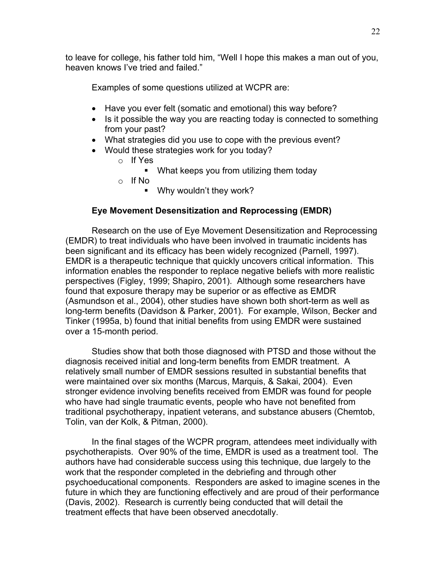to leave for college, his father told him, "Well I hope this makes a man out of you, heaven knows I've tried and failed."

Examples of some questions utilized at WCPR are:

- Have you ever felt (somatic and emotional) this way before?
- Is it possible the way you are reacting today is connected to something from your past?
- What strategies did you use to cope with the previous event?
- Would these strategies work for you today?
	- o If Yes
		- What keeps you from utilizing them today
	- o If No
		- **Why wouldn't they work?**

## **Eye Movement Desensitization and Reprocessing (EMDR)**

Research on the use of Eye Movement Desensitization and Reprocessing (EMDR) to treat individuals who have been involved in traumatic incidents has been significant and its efficacy has been widely recognized (Parnell, 1997). EMDR is a therapeutic technique that quickly uncovers critical information. This information enables the responder to replace negative beliefs with more realistic perspectives (Figley, 1999; Shapiro, 2001). Although some researchers have found that exposure therapy may be superior or as effective as EMDR (Asmundson et al., 2004), other studies have shown both short-term as well as long-term benefits (Davidson & Parker, 2001). For example, Wilson, Becker and Tinker (1995a, b) found that initial benefits from using EMDR were sustained over a 15-month period.

Studies show that both those diagnosed with PTSD and those without the diagnosis received initial and long-term benefits from EMDR treatment. A relatively small number of EMDR sessions resulted in substantial benefits that were maintained over six months (Marcus, Marquis, & Sakai, 2004). Even stronger evidence involving benefits received from EMDR was found for people who have had single traumatic events, people who have not benefited from traditional psychotherapy, inpatient veterans, and substance abusers (Chemtob, Tolin, van der Kolk, & Pitman, 2000).

In the final stages of the WCPR program, attendees meet individually with psychotherapists. Over 90% of the time, EMDR is used as a treatment tool. The authors have had considerable success using this technique, due largely to the work that the responder completed in the debriefing and through other psychoeducational components. Responders are asked to imagine scenes in the future in which they are functioning effectively and are proud of their performance (Davis, 2002). Research is currently being conducted that will detail the treatment effects that have been observed anecdotally.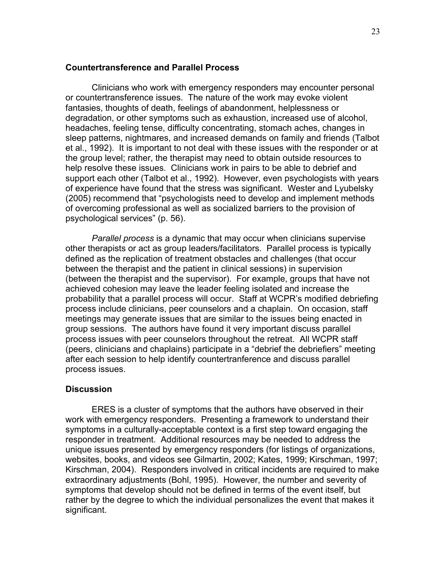#### **Countertransference and Parallel Process**

 Clinicians who work with emergency responders may encounter personal or countertransference issues. The nature of the work may evoke violent fantasies, thoughts of death, feelings of abandonment, helplessness or degradation, or other symptoms such as exhaustion, increased use of alcohol, headaches, feeling tense, difficulty concentrating, stomach aches, changes in sleep patterns, nightmares, and increased demands on family and friends (Talbot et al., 1992). It is important to not deal with these issues with the responder or at the group level; rather, the therapist may need to obtain outside resources to help resolve these issues. Clinicians work in pairs to be able to debrief and support each other (Talbot et al., 1992). However, even psychologists with years of experience have found that the stress was significant. Wester and Lyubelsky (2005) recommend that "psychologists need to develop and implement methods of overcoming professional as well as socialized barriers to the provision of psychological services" (p. 56).

*Parallel process* is a dynamic that may occur when clinicians supervise other therapists or act as group leaders/facilitators. Parallel process is typically defined as the replication of treatment obstacles and challenges (that occur between the therapist and the patient in clinical sessions) in supervision (between the therapist and the supervisor). For example, groups that have not achieved cohesion may leave the leader feeling isolated and increase the probability that a parallel process will occur. Staff at WCPR's modified debriefing process include clinicians, peer counselors and a chaplain. On occasion, staff meetings may generate issues that are similar to the issues being enacted in group sessions. The authors have found it very important discuss parallel process issues with peer counselors throughout the retreat. All WCPR staff (peers, clinicians and chaplains) participate in a "debrief the debriefiers" meeting after each session to help identify countertranference and discuss parallel process issues.

### **Discussion**

ERES is a cluster of symptoms that the authors have observed in their work with emergency responders. Presenting a framework to understand their symptoms in a culturally-acceptable context is a first step toward engaging the responder in treatment. Additional resources may be needed to address the unique issues presented by emergency responders (for listings of organizations, websites, books, and videos see Gilmartin, 2002; Kates, 1999; Kirschman, 1997; Kirschman, 2004). Responders involved in critical incidents are required to make extraordinary adjustments (Bohl, 1995). However, the number and severity of symptoms that develop should not be defined in terms of the event itself, but rather by the degree to which the individual personalizes the event that makes it significant.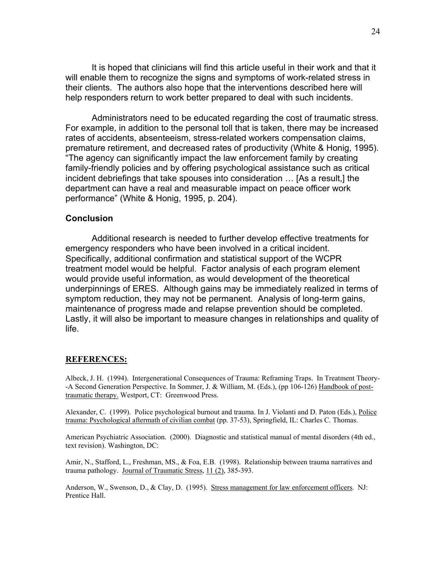It is hoped that clinicians will find this article useful in their work and that it will enable them to recognize the signs and symptoms of work-related stress in their clients. The authors also hope that the interventions described here will help responders return to work better prepared to deal with such incidents.

Administrators need to be educated regarding the cost of traumatic stress. For example, in addition to the personal toll that is taken, there may be increased rates of accidents, absenteeism, stress-related workers compensation claims, premature retirement, and decreased rates of productivity (White & Honig, 1995). "The agency can significantly impact the law enforcement family by creating family-friendly policies and by offering psychological assistance such as critical incident debriefings that take spouses into consideration … [As a result,] the department can have a real and measurable impact on peace officer work performance" (White & Honig, 1995, p. 204).

### **Conclusion**

Additional research is needed to further develop effective treatments for emergency responders who have been involved in a critical incident. Specifically, additional confirmation and statistical support of the WCPR treatment model would be helpful. Factor analysis of each program element would provide useful information, as would development of the theoretical underpinnings of ERES. Although gains may be immediately realized in terms of symptom reduction, they may not be permanent. Analysis of long-term gains, maintenance of progress made and relapse prevention should be completed. Lastly, it will also be important to measure changes in relationships and quality of life.

#### **REFERENCES:**

Albeck, J. H. (1994). Intergenerational Consequences of Trauma: Reframing Traps. In Treatment Theory- -A Second Generation Perspective. In Sommer, J. & William, M. (Eds.), (pp 106-126) Handbook of posttraumatic therapy. Westport, CT: Greenwood Press.

Alexander, C. (1999). Police psychological burnout and trauma. In J. Violanti and D. Paton (Eds.), Police trauma: Psychological aftermath of civilian combat (pp. 37-53), Springfield, IL: Charles C. Thomas.

American Psychiatric Association. (2000). Diagnostic and statistical manual of mental disorders (4th ed., text revision). Washington, DC:

Amir, N., Stafford, L., Freshman, MS., & Foa, E.B. (1998). Relationship between trauma narratives and trauma pathology. Journal of Traumatic Stress, 11 (2), 385-393.

Anderson, W., Swenson, D., & Clay, D. (1995). Stress management for law enforcement officers. NJ: Prentice Hall.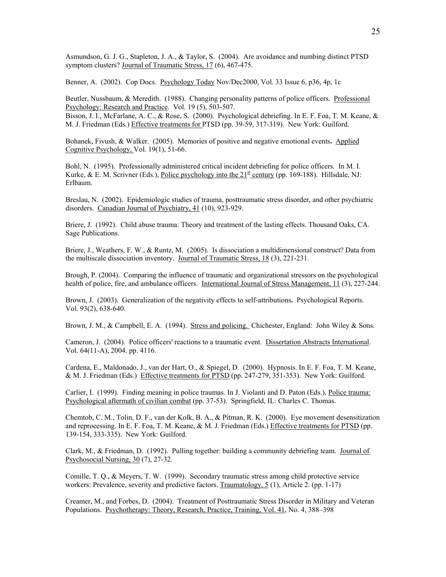Asmundson, G. J. G., Stapleton, J. A., & Taylor, S. (2004). Are avoidance and numbing distinct PTSD symptom clusters? Journal of Traumatic Stress, 17 (6), 467-475.

Benner, A. (2002). Cop Docs. Psychology Today Nov/Dec2000, Vol. 33 Issue 6, p36, 4p, 1c

Beutler, Nussbaum, & Meredith. (1988). Changing personality patterns of police officers. Professional Psychology: Research and Practice. Vol. 19 (5), 503-507.

Bisson, J. I., McFarlane, A. C., & Rose, S. (2000). Psychological debriefing. In E. F. Foa, T. M. Keane, & M. J. Friedman (Eds.) Effective treatments for PTSD (pp. 39-59, 317-319). New York: Guilford.

Bohanek, Fivush, & Walker. (2005). Memories of positive and negative emotional events**.** Applied Cognitive Psychology, Vol. 19(1), 51-66.

Bohl, N. (1995). Professionally administered critical incident debriefing for police officers. In M. I. Kurke, & E. M. Scrivner (Eds.), Police psychology into the  $21<sup>st</sup>$  century (pp. 169-188). Hillsdale, NJ: Erlbaum.

Breslau, N. (2002). Epidemiologic studies of trauma, posttraumatic stress disorder, and other psychiatric disorders. Canadian Journal of Psychiatry, 41 (10), 923-929.

Briere, J. (1992). Child abuse trauma: Theory and treatment of the lasting effects. Thousand Oaks, CA. Sage Publications.

Briere, J., Weathers, F. W., & Runtz, M. (2005). Is dissociation a multidimensional construct? Data from the multiscale dissociation inventory. Journal of Traumatic Stress, 18 (3), 221-231.

Brough, P. (2004). Comparing the influence of traumatic and organizational stressors on the psychological health of police, fire, and ambulance officers. International Journal of Stress Management, 11 (3), 227-244.

Brown, J. (2003). Generalization of the negativity effects to self-attributions**.** Psychological Reports. Vol. 93(2), 638-640.

Brown, J. M., & Campbell, E. A. (1994). Stress and policing. Chichester, England: John Wiley & Sons.

Cameron, J. (2004). Police officers' reactions to a traumatic event. Dissertation Abstracts International. Vol. 64(11-A), 2004. pp. 4116.

Cardena, E., Maldonado, J., van der Hart, O., & Spiegel, D. (2000). Hypnosis. In E. F. Foa, T. M. Keane, & M. J. Friedman (Eds.) Effective treatments for PTSD (pp. 247-279, 351-353). New York: Guilford.

Carlier, I. (1999). Finding meaning in police traumas. In J. Violanti and D. Paton (Eds.), Police trauma: Psychological aftermath of civilian combat (pp. 37-53). Springfield, IL: Charles C. Thomas.

Chemtob, C. M., Tolin, D. F., van der Kolk, B. A., & Pitman, R. K. (2000). Eye movement desensitization and reprocessing. In E. F. Foa, T. M. Keane, & M. J. Friedman (Eds.) Effective treatments for PTSD (pp. 139-154, 333-335). New York: Guilford.

Clark, M., & Friedman, D. (1992). Pulling together: building a community debriefing team. Journal of Psychosocial Nursing, 30 (7), 27-32.

Comille, T. Q., & Meyers, T. W. (1999). Secondary traumatic stress among child protective service workers: Prevalence, severity and predictive factors. Traumatology, 5 (1), Article 2. (pp. 1-17)

Creamer, M., and Forbes, D. (2004). Treatment of Posttraumatic Stress Disorder in Military and Veteran Populations. Psychotherapy: Theory, Research, Practice, Training, Vol. 41, No. 4, 388–398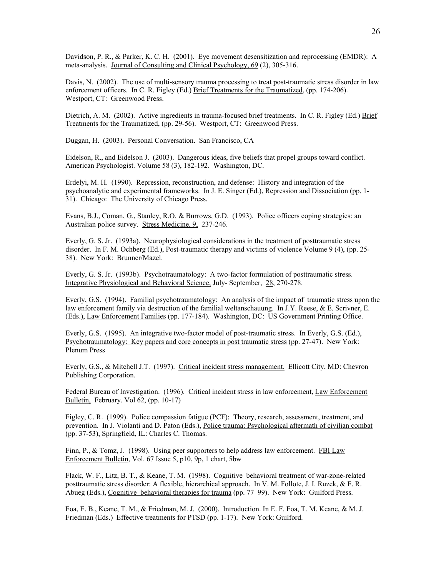Davidson, P. R., & Parker, K. C. H. (2001). Eye movement desensitization and reprocessing (EMDR): A meta-analysis. Journal of Consulting and Clinical Psychology, 69 (2), 305-316.

Davis, N. (2002). The use of multi-sensory trauma processing to treat post-traumatic stress disorder in law enforcement officers. In C. R. Figley (Ed.) Brief Treatments for the Traumatized, (pp. 174-206). Westport, CT: Greenwood Press.

Dietrich, A. M. (2002). Active ingredients in trauma-focused brief treatments. In C. R. Figley (Ed.) Brief Treatments for the Traumatized, (pp. 29-56). Westport, CT: Greenwood Press.

Duggan, H. (2003). Personal Conversation. San Francisco, CA

Eidelson, R., and Eidelson J. (2003). Dangerous ideas, five beliefs that propel groups toward conflict. American Psychologist. Volume 58 (3), 182-192. Washington, DC.

Erdelyi, M. H. (1990). Repression, reconstruction, and defense: History and integration of the psychoanalytic and experimental frameworks. In J. E. Singer (Ed.), Repression and Dissociation (pp. 1- 31). Chicago: The University of Chicago Press.

Evans, B.J., Coman, G., Stanley, R.O. & Burrows, G.D. (1993). Police officers coping strategies: an Australian police survey. Stress Medicine, 9, 237-246.

Everly, G. S. Jr. (1993a). Neurophysiological considerations in the treatment of posttraumatic stress disorder. In F. M. Ochberg (Ed.), Post-traumatic therapy and victims of violence Volume 9 (4), (pp. 25- 38). New York: Brunner/Mazel.

Everly, G. S. Jr. (1993b). Psychotraumatology: A two-factor formulation of posttraumatic stress. Integrative Physiological and Behavioral Science, July- September, 28, 270-278.

Everly, G.S. (1994). Familial psychotraumatology: An analysis of the impact of traumatic stress upon the law enforcement family via destruction of the familial weltanschauung. In J.Y. Reese, & E. Scrivner, E. (Eds.), Law Enforcement Families (pp. 177-184). Washington, DC: US Government Printing Office.

Everly, G.S. (1995). An integrative two-factor model of post-traumatic stress. In Everly, G.S. (Ed.), Psychotraumatology: Key papers and core concepts in post traumatic stress (pp. 27-47). New York: Plenum Press

Everly, G.S., & Mitchell J.T. (1997). Critical incident stress management. Ellicott City, MD: Chevron Publishing Corporation.

Federal Bureau of Investigation. (1996). Critical incident stress in law enforcement, Law Enforcement Bulletin, February. Vol 62, (pp. 10-17)

Figley, C. R. (1999). Police compassion fatigue (PCF): Theory, research, assessment, treatment, and prevention. In J. Violanti and D. Paton (Eds.), Police trauma: Psychological aftermath of civilian combat (pp. 37-53), Springfield, IL: Charles C. Thomas.

Finn, P., & Tomz, J. (1998). Using peer supporters to help address law enforcement. FBI Law Enforcement Bulletin, Vol. 67 Issue 5, p10, 9p, 1 chart, 5bw

Flack, W. F., Litz, B. T., & Keane, T. M. (1998). Cognitive–behavioral treatment of war-zone-related posttraumatic stress disorder: A flexible, hierarchical approach. In V. M. Follote, J. I. Ruzek, & F. R. Abueg (Eds.), Cognitive–behavioral therapies for trauma (pp. 77–99). New York: Guilford Press.

Foa, E. B., Keane, T. M., & Friedman, M. J. (2000). Introduction. In E. F. Foa, T. M. Keane, & M. J. Friedman (Eds.) Effective treatments for PTSD (pp. 1-17). New York: Guilford.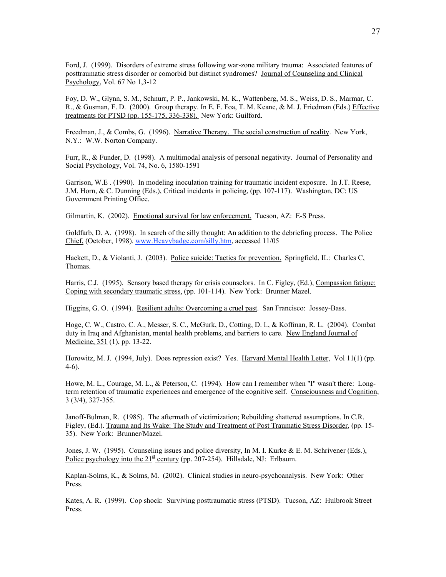Ford, J. (1999). Disorders of extreme stress following war-zone military trauma: Associated features of posttraumatic stress disorder or comorbid but distinct syndromes? Journal of Counseling and Clinical Psychology, Vol. 67 No 1,3-12

Foy, D. W., Glynn, S. M., Schnurr, P. P., Jankowski, M. K., Wattenberg, M. S., Weiss, D. S., Marmar, C. R., & Gusman, F. D. (2000). Group therapy. In E. F. Foa, T. M. Keane, & M. J. Friedman (Eds.) Effective treatments for PTSD (pp. 155-175, 336-338). New York: Guilford.

Freedman, J., & Combs, G. (1996). Narrative Therapy. The social construction of reality. New York, N.Y.: W.W. Norton Company.

Furr, R., & Funder, D. (1998). A multimodal analysis of personal negativity. Journal of Personality and Social Psychology, Vol. 74, No. 6, 1580-1591

Garrison, W.E . (1990). In modeling inoculation training for traumatic incident exposure. In J.T. Reese, J.M. Horn, & C. Dunning (Eds.), Critical incidents in policing, (pp. 107-117). Washington, DC: US Government Printing Office.

Gilmartin, K. (2002). Emotional survival for law enforcement. Tucson, AZ: E-S Press.

Goldfarb, D. A. (1998). In search of the silly thought: An addition to the debriefing process. The Police Chief, (October, 1998). www.Heavybadge.com/silly.htm, accessed 11/05

Hackett, D., & Violanti, J. (2003). Police suicide: Tactics for prevention. Springfield, IL: Charles C, Thomas.

Harris, C.J. (1995). Sensory based therapy for crisis counselors. In C. Figley, (Ed.), Compassion fatigue: Coping with secondary traumatic stress, (pp. 101-114). New York: Brunner Mazel.

Higgins, G. O. (1994). Resilient adults: Overcoming a cruel past. San Francisco: Jossey-Bass.

Hoge, C. W., Castro, C. A., Messer, S. C., McGurk, D., Cotting, D. I., & Koffman, R. L. (2004). Combat duty in Iraq and Afghanistan, mental health problems, and barriers to care. New England Journal of Medicine, 351 (1), pp. 13-22.

Horowitz, M. J. (1994, July). Does repression exist? Yes. Harvard Mental Health Letter, Vol 11(1) (pp. 4-6).

Howe, M. L., Courage, M. L., & Peterson, C. (1994). How can I remember when "I" wasn't there: Longterm retention of traumatic experiences and emergence of the cognitive self. Consciousness and Cognition, 3 (3/4), 327-355.

Janoff-Bulman, R. (1985). The aftermath of victimization; Rebuilding shattered assumptions. In C.R. Figley, (Ed.). Trauma and Its Wake: The Study and Treatment of Post Traumatic Stress Disorder, (pp. 15- 35). New York: Brunner/Mazel.

Jones, J. W. (1995). Counseling issues and police diversity, In M. I. Kurke & E. M. Schrivener (Eds.), Police psychology into the  $21^{\underline{st}}$  century (pp. 207-254). Hillsdale, NJ: Erlbaum.

Kaplan-Solms, K., & Solms, M. (2002). Clinical studies in neuro-psychoanalysis. New York: Other Press.

Kates, A. R. (1999). Cop shock: Surviving posttraumatic stress (PTSD). Tucson, AZ: Hulbrook Street Press.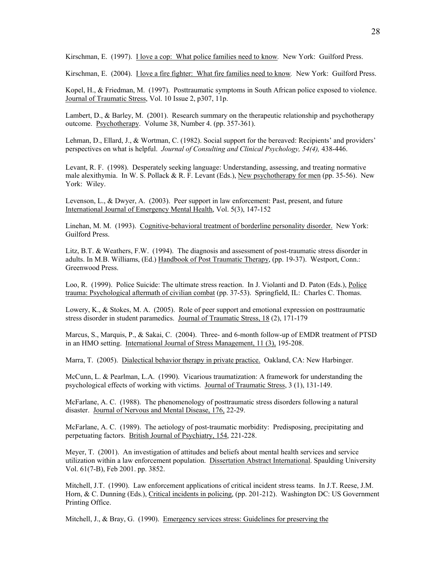Kirschman, E. (1997). I love a cop: What police families need to know*.* New York: Guilford Press.

Kirschman, E. (2004). I love a fire fighter: What fire families need to know*.* New York: Guilford Press.

Kopel, H., & Friedman, M. (1997). Posttraumatic symptoms in South African police exposed to violence. Journal of Traumatic Stress, Vol. 10 Issue 2, p307, 11p.

Lambert, D., & Barley, M. (2001). Research summary on the therapeutic relationship and psychotherapy outcome. Psychotherapy. Volume 38, Number 4. (pp. 357-361).

Lehman, D., Ellard, J., & Wortman, C. (1982). Social support for the bereaved: Recipients' and providers' perspectives on what is helpful. *Journal of Consulting and Clinical Psychology, 54(4),* 438-446.

Levant, R. F. (1998). Desperately seeking language: Understanding, assessing, and treating normative male alexithymia. In W. S. Pollack & R. F. Levant (Eds.), New psychotherapy for men (pp. 35-56). New York: Wiley.

Levenson, L., & Dwyer, A. (2003). Peer support in law enforcement: Past, present, and future International Journal of Emergency Mental Health, Vol. 5(3), 147-152

Linehan, M. M. (1993). Cognitive-behavioral treatment of borderline personality disorder. New York: Guilford Press.

Litz, B.T. & Weathers, F.W. (1994). The diagnosis and assessment of post-traumatic stress disorder in adults. In M.B. Williams, (Ed.) Handbook of Post Traumatic Therapy, (pp. 19-37). Westport, Conn.: Greenwood Press.

Loo, R. (1999). Police Suicide: The ultimate stress reaction. In J. Violanti and D. Paton (Eds.), Police trauma: Psychological aftermath of civilian combat (pp. 37-53). Springfield, IL: Charles C. Thomas.

Lowery, K., & Stokes, M. A. (2005). Role of peer support and emotional expression on posttraumatic stress disorder in student paramedics. Journal of Traumatic Stress, 18 (2), 171-179

Marcus, S., Marquis, P., & Sakai, C. (2004). Three- and 6-month follow-up of EMDR treatment of PTSD in an HMO setting. International Journal of Stress Management, 11 (3), 195-208.

Marra, T. (2005). Dialectical behavior therapy in private practice. Oakland, CA: New Harbinger.

McCunn, L. & Pearlman, L.A. (1990). Vicarious traumatization: A framework for understanding the psychological effects of working with victims. Journal of Traumatic Stress, 3 (1), 131-149.

McFarlane, A. C. (1988). The phenomenology of posttraumatic stress disorders following a natural disaster. Journal of Nervous and Mental Disease, 176, 22-29.

McFarlane, A. C. (1989). The aetiology of post-traumatic morbidity: Predisposing, precipitating and perpetuating factors. British Journal of Psychiatry, 154, 221-228.

Meyer, T. (2001). An investigation of attitudes and beliefs about mental health services and service utilization within a law enforcement population. Dissertation Abstract International. Spaulding University Vol. 61(7-B), Feb 2001. pp. 3852.

Mitchell, J.T. (1990). Law enforcement applications of critical incident stress teams. In J.T. Reese, J.M. Horn, & C. Dunning (Eds.), Critical incidents in policing, (pp. 201-212). Washington DC: US Government Printing Office.

Mitchell, J., & Bray, G. (1990). Emergency services stress: Guidelines for preserving the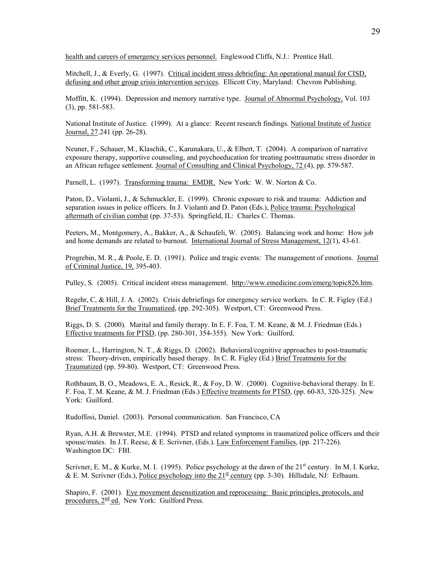health and careers of emergency services personnel. Englewood Cliffs, N.J.: Prentice Hall.

Mitchell, J., & Everly, G. (1997). Critical incident stress debriefing: An operational manual for CISD, defusing and other group crisis intervention services. Ellicott City, Maryland: Chevron Publishing.

Moffitt, K. (1994). Depression and memory narrative type. Journal of Abnormal Psychology, Vol. 103 (3), pp. 581-583.

National Institute of Justice. (1999). At a glance: Recent research findings. National Institute of Justice Journal, 27.241 (pp. 26-28).

Neuner, F., Schauer, M., Klaschik, C., Karunakara, U., & Elbert, T. (2004). A comparison of narrative exposure therapy, supportive counseling, and psychoeducation for treating posttraumatic stress disorder in an African refugee settlement. Journal of Consulting and Clinical Psychology, 72 (4), pp. 579-587.

Parnell, L. (1997). Transforming trauma: EMDR. New York: W. W. Norton & Co.

Paton, D., Violanti, J., & Schmuckler, E. (1999). Chronic exposure to risk and trauma: Addiction and separation issues in police officers. In J. Violanti and D. Paton (Eds.), Police trauma: Psychological aftermath of civilian combat (pp. 37-53). Springfield, IL: Charles C. Thomas.

Peeters, M., Montgomery, A., Bakker, A., & Schaufeli, W. (2005). Balancing work and home: How job and home demands are related to burnout. International Journal of Stress Management, 12(1), 43-61.

Progrebin, M. R., & Poole, E. D. (1991). Police and tragic events: The management of emotions. Journal of Criminal Justice, 19, 395-403.

Pulley, S. (2005). Critical incident stress management. http://www.emedicine.com/emerg/topic826.htm.

Regehr, C, & Hill, J. A. (2002). Crisis debriefings for emergency service workers. In C. R. Figley (Ed.) Brief Treatments for the Traumatized, (pp. 292-305). Westport, CT: Greenwood Press.

Riggs, D. S. (2000). Marital and family therapy. In E. F. Foa, T. M. Keane, & M. J. Friedman (Eds.) Effective treatments for PTSD, (pp. 280-301, 354-355). New York: Guilford.

Roemer, L., Harrington, N. T., & Riggs, D. (2002). Behavioral/cognitive approaches to post-traumatic stress: Theory-driven, empirically based therapy. In C. R. Figley (Ed.) Brief Treatments for the Traumatized (pp. 59-80). Westport, CT: Greenwood Press.

Rothbaum, B. O., Meadows, E. A., Resick, R., & Foy, D. W. (2000). Cognitive-behavioral therapy. In E. F. Foa, T. M. Keane, & M. J. Friedman (Eds.) Effective treatments for PTSD, (pp. 60-83, 320-325). New York: Guilford.

Rudoffosi, Daniel. (2003). Personal communication. San Francisco, CA

Ryan, A.H. & Brewster, M.E. (1994). PTSD and related symptoms in traumatized police officers and their spouse/mates. In J.T. Reese, & E. Scrivner, (Eds.). Law Enforcement Families, (pp. 217-226). Washington DC: FBI.

Scrivner, E. M., & Kurke, M. I. (1995). Police psychology at the dawn of the 21<sup>st</sup> century. In M. I. Kurke, & E. M. Scrivner (Eds.), Police psychology into the  $21^{st}$  century (pp. 3-30). Hillsdale, NJ: Erlbaum.

Shapiro, F. (2001). Eye movement desensitization and reprocessing: Basic principles, protocols, and procedures,  $2^{nd}$  ed. New York: Guilford Press.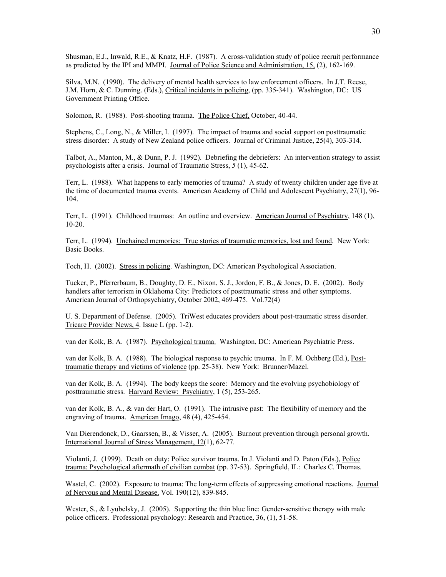Shusman, E.J., Inwald, R.E., & Knatz, H.F. (1987). A cross-validation study of police recruit performance as predicted by the IPI and MMPI. Journal of Police Science and Administration, 15, (2), 162-169.

Silva, M.N. (1990). The delivery of mental health services to law enforcement officers. In J.T. Reese, J.M. Horn, & C. Dunning. (Eds.), Critical incidents in policing, (pp. 335-341). Washington, DC: US Government Printing Office.

Solomon, R. (1988). Post-shooting trauma. The Police Chief, October, 40-44.

Stephens, C., Long, N., & Miller, I. (1997). The impact of trauma and social support on posttraumatic stress disorder: A study of New Zealand police officers. Journal of Criminal Justice, 25(4), 303-314.

Talbot, A., Manton, M., & Dunn, P. J. (1992). Debriefing the debriefers: An intervention strategy to assist psychologists after a crisis. Journal of Traumatic Stress, *5* (1), 45-62.

Terr, L. (1988). What happens to early memories of trauma? A study of twenty children under age five at the time of documented trauma events. American Academy of Child and Adolescent Psychiatry, 27(1), 96- 104.

Terr, L. (1991). Childhood traumas: An outline and overview. American Journal of Psychiatry, 148 (1), 10-20.

Terr, L. (1994). Unchained memories: True stories of traumatic memories, lost and found. New York: Basic Books.

Toch, H. (2002). Stress in policing. Washington, DC: American Psychological Association.

Tucker, P., Pferrerbaum, B., Doughty, D. E., Nixon, S. J., Jordon, F. B., & Jones, D. E. (2002). Body handlers after terrorism in Oklahoma City: Predictors of posttraumatic stress and other symptoms. American Journal of Orthopsychiatry, October 2002, 469-475. Vol.72(4)

U. S. Department of Defense. (2005). TriWest educates providers about post-traumatic stress disorder. Tricare Provider News, 4. Issue L (pp. 1-2).

van der Kolk, B. A. (1987). Psychological trauma. Washington, DC: American Psychiatric Press.

van der Kolk, B. A. (1988). The biological response to psychic trauma. In F. M. Ochberg (Ed.), Posttraumatic therapy and victims of violence (pp. 25-38). New York: Brunner/Mazel.

van der Kolk, B. A. (1994). The body keeps the score: Memory and the evolving psychobiology of posttraumatic stress. Harvard Review: Psychiatry, 1 (5), 253-265.

van der Kolk, B. A., & van der Hart, O. (1991). The intrusive past: The flexibility of memory and the engraving of trauma. American Imago, 48 (4), 425-454.

Van Dierendonck, D., Gaarssen, B., & Visser, A. (2005). Burnout prevention through personal growth. International Journal of Stress Management, 12(1), 62-77.

Violanti, J. (1999). Death on duty: Police survivor trauma. In J. Violanti and D. Paton (Eds.), Police trauma: Psychological aftermath of civilian combat (pp. 37-53). Springfield, IL: Charles C. Thomas.

Wastel, C. (2002). Exposure to trauma: The long-term effects of suppressing emotional reactions. Journal of Nervous and Mental Disease. Vol. 190(12), 839-845.

Wester, S., & Lyubelsky, J. (2005). Supporting the thin blue line: Gender-sensitive therapy with male police officers. Professional psychology: Research and Practice, 36, (1), 51-58.